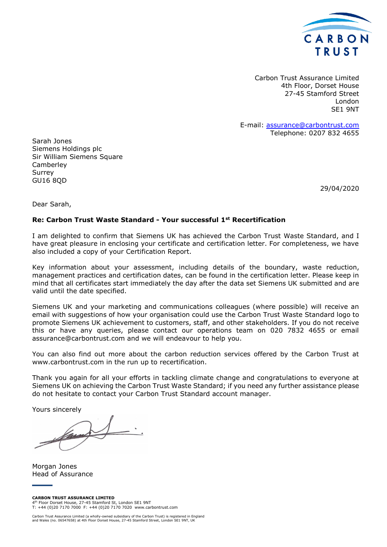

Carbon Trust Assurance Limited 4th Floor, Dorset House 27-45 Stamford Street London SE1 9NT

E-mail: assurance@carbontrust.com Telephone: 0207 832 4655

Sarah Jones Siemens Holdings plc Sir William Siemens Square **Camberley** Surrey GU16 8QD

29/04/2020

Dear Sarah,

#### **Re: Carbon Trust Waste Standard - Your successful 1st Recertification**

I am delighted to confirm that Siemens UK has achieved the Carbon Trust Waste Standard, and I have great pleasure in enclosing your certificate and certification letter. For completeness, we have also included a copy of your Certification Report.

Key information about your assessment, including details of the boundary, waste reduction, management practices and certification dates, can be found in the certification letter. Please keep in mind that all certificates start immediately the day after the data set Siemens UK submitted and are valid until the date specified.

Siemens UK and your marketing and communications colleagues (where possible) will receive an email with suggestions of how your organisation could use the Carbon Trust Waste Standard logo to promote Siemens UK achievement to customers, staff, and other stakeholders. If you do not receive this or have any queries, please contact our operations team on 020 7832 4655 or email assurance@carbontrust.com and we will endeavour to help you.

You can also find out more about the carbon reduction services offered by the Carbon Trust at www.carbontrust.com in the run up to recertification.

Thank you again for all your efforts in tackling climate change and congratulations to everyone at Siemens UK on achieving the Carbon Trust Waste Standard; if you need any further assistance please do not hesitate to contact your Carbon Trust Standard account manager.

Yours sincerely

family

Morgan Jones Head of Assurance

Carbon Trust Assurance Limited (a wholly-owned subsidiary of the Carbon Trust) is registered in England and Wales (no. 06547658) at 4th Floor Dorset House, 27-45 Stamford Street, London SE1 9NT, UK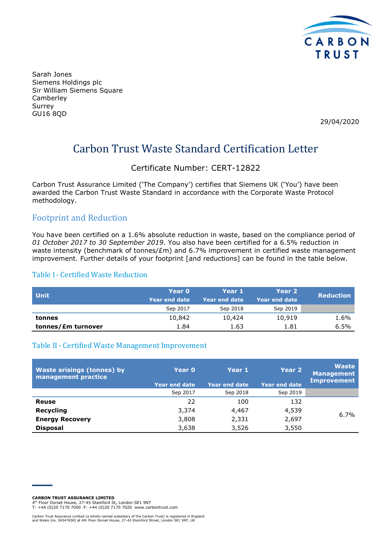

Sarah Jones Siemens Holdings plc Sir William Siemens Square Camberley Surrey GU16 8QD

29/04/2020

## Carbon Trust Waste Standard Certification Letter

#### Certificate Number: CERT-12822

Carbon Trust Assurance Limited ('The Company') certifies that Siemens UK ('You') have been awarded the Carbon Trust Waste Standard in accordance with the Corporate Waste Protocol methodology.

#### Footprint and Reduction

You have been certified on a 1.6% absolute reduction in waste, based on the compliance period of *01 October 2017 to 30 September 2019*. You also have been certified for a 6.5% reduction in waste intensity (benchmark of tonnes/£m) and 6.7% improvement in certified waste management improvement. Further details of your footprint [and reductions] can be found in the table below.

#### Table I- Certified Waste Reduction

| <b>Unit</b>        | Year 0          | Year 1        | Year 2          | <b>Reduction</b> |
|--------------------|-----------------|---------------|-----------------|------------------|
|                    | ا Year end date | Year end date | ا Year end date |                  |
|                    | Sep 2017        | Sep 2018      | Sep 2019        |                  |
| tonnes             | 10,842          | 10,424        | 10,919          | 1.6%             |
| tonnes/£m turnover | 1.84            | 1.63          | 1.81            | 6.5%             |

#### Table II- Certified Waste Management Improvement

| <b>Waste arisings (tonnes) by</b><br>management practice | <b>Year 0</b><br><b>Year end date</b> | Year 1<br><b>Year end date</b> | Year 2<br><b>Year end date</b> | <b>Waste</b><br><b>Management</b><br>Improvement |
|----------------------------------------------------------|---------------------------------------|--------------------------------|--------------------------------|--------------------------------------------------|
|                                                          | Sep 2017                              | Sep 2018                       | Sep 2019                       |                                                  |
| Reuse                                                    | 22                                    | 100                            | 132                            |                                                  |
| <b>Recycling</b>                                         | 3,374                                 | 4,467                          | 4,539                          | 6.7%                                             |
| <b>Energy Recovery</b>                                   | 3,808                                 | 2,331                          | 2,697                          |                                                  |
| <b>Disposal</b>                                          | 3,638                                 | 3,526                          | 3,550                          |                                                  |

**CARBON TRUST ASSURANCE LIMITED**

4 th Floor Dorset House, 27-45 Stamford St, London SE1 9NT T: +44 (0)20 7170 7000 F: +44 (0)20 7170 7020 www.carbontrust.com

Carbon Trust Assurance Limited (a wholly-owned subsidiary of the Carbon Trust) is registered in England and Wales (no. 06547658) at 4th Floor Dorset House, 27-45 Stamford Street, London SE1 9NT, UK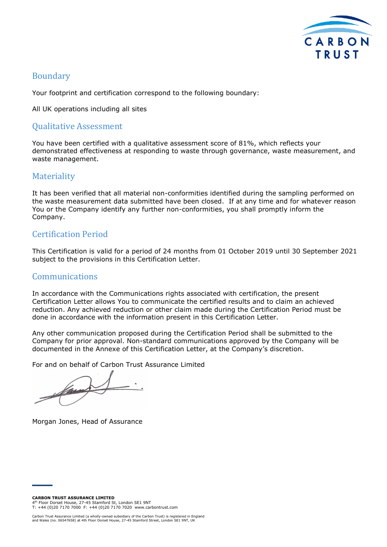

#### Boundary

Your footprint and certification correspond to the following boundary:

All UK operations including all sites

#### Qualitative Assessment

You have been certified with a qualitative assessment score of 81%, which reflects your demonstrated effectiveness at responding to waste through governance, waste measurement, and waste management.

#### **Materiality**

It has been verified that all material non-conformities identified during the sampling performed on the waste measurement data submitted have been closed. If at any time and for whatever reason You or the Company identify any further non-conformities, you shall promptly inform the Company.

#### Certification Period

This Certification is valid for a period of 24 months from 01 October 2019 until 30 September 2021 subject to the provisions in this Certification Letter.

#### Communications

In accordance with the Communications rights associated with certification, the present Certification Letter allows You to communicate the certified results and to claim an achieved reduction. Any achieved reduction or other claim made during the Certification Period must be done in accordance with the information present in this Certification Letter.

Any other communication proposed during the Certification Period shall be submitted to the Company for prior approval. Non-standard communications approved by the Company will be documented in the Annexe of this Certification Letter, at the Company's discretion.

For and on behalf of Carbon Trust Assurance Limited

Morgan Jones, Head of Assurance

**CARBON TRUST ASSURANCE LIMITED**

4 th Floor Dorset House, 27-45 Stamford St, London SE1 9NT T: +44 (0)20 7170 7000 F: +44 (0)20 7170 7020 www.carbontrust.com

Carbon Trust Assurance Limited (a wholly-owned subsidiary of the Carbon Trust) is registered in England and Wales (no. 06547658) at 4th Floor Dorset House, 27-45 Stamford Street, London SE1 9NT, UK